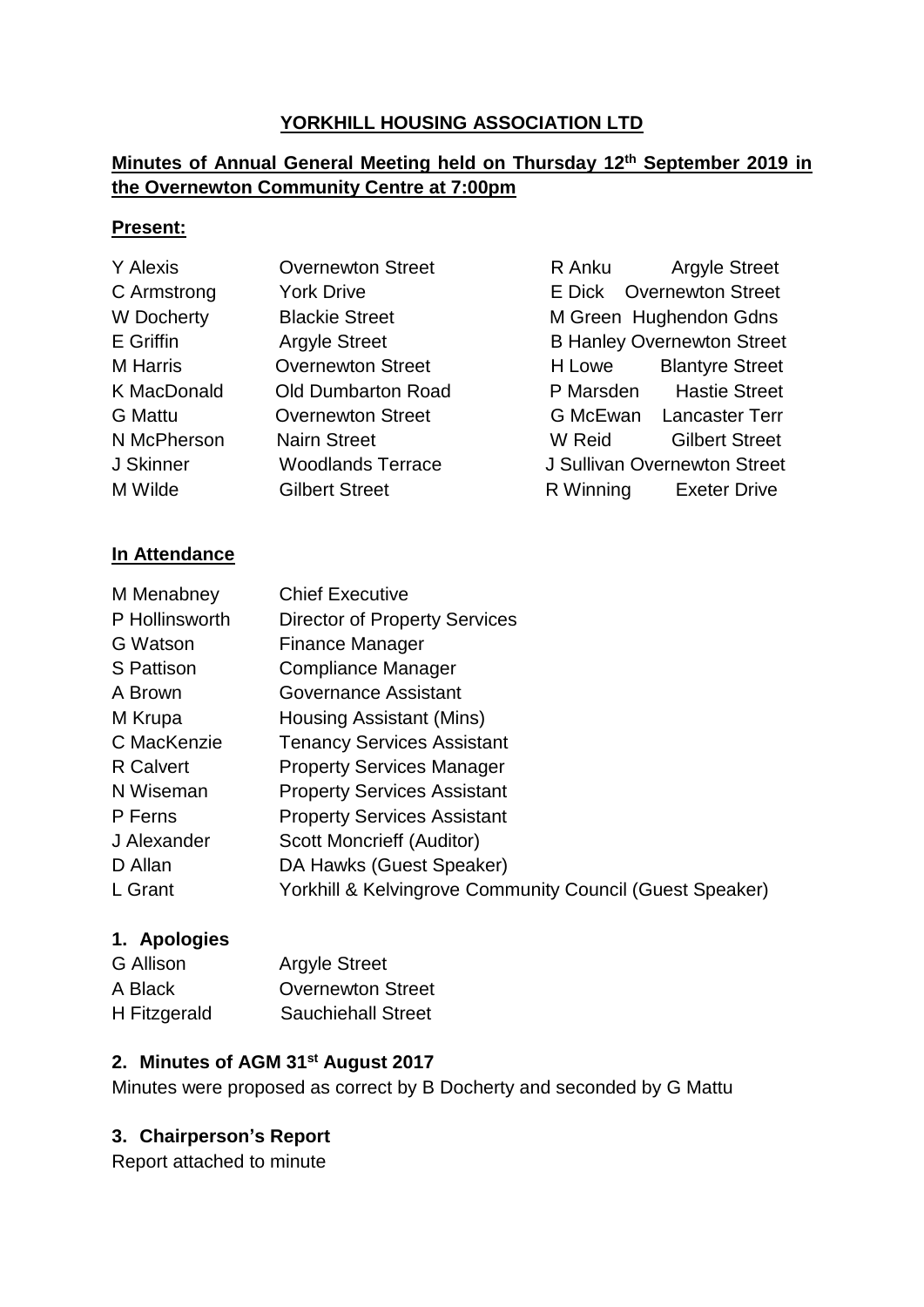## **YORKHILL HOUSING ASSOCIATION LTD**

# **Minutes of Annual General Meeting held on Thursday 12th September 2019 in the Overnewton Community Centre at 7:00pm**

#### **Present:**

| Y Alexis           | <b>Overnewton Street</b>  | R Anku    | <b>Argyle Street</b>              |
|--------------------|---------------------------|-----------|-----------------------------------|
| C Armstrong        | <b>York Drive</b>         |           | E Dick Overnewton Street          |
| W Docherty         | <b>Blackie Street</b>     |           | M Green Hughendon Gdns            |
| E Griffin          | <b>Argyle Street</b>      |           | <b>B Hanley Overnewton Street</b> |
| <b>M</b> Harris    | <b>Overnewton Street</b>  | H Lowe    | <b>Blantyre Street</b>            |
| <b>K MacDonald</b> | <b>Old Dumbarton Road</b> |           | P Marsden Hastie Street           |
| <b>G</b> Mattu     | <b>Overnewton Street</b>  |           | G McEwan Lancaster Terr           |
| N McPherson        | <b>Nairn Street</b>       | W Reid    | <b>Gilbert Street</b>             |
| J Skinner          | <b>Woodlands Terrace</b>  |           | J Sullivan Overnewton Street      |
| M Wilde            | <b>Gilbert Street</b>     | R Winning | <b>Exeter Drive</b>               |

#### **In Attendance**

| M Menabney       | <b>Chief Executive</b>                                   |
|------------------|----------------------------------------------------------|
| P Hollinsworth   | <b>Director of Property Services</b>                     |
| G Watson         | Finance Manager                                          |
| S Pattison       | Compliance Manager                                       |
| A Brown          | Governance Assistant                                     |
| M Krupa          | Housing Assistant (Mins)                                 |
| C MacKenzie      | <b>Tenancy Services Assistant</b>                        |
| <b>R</b> Calvert | <b>Property Services Manager</b>                         |
| N Wiseman        | <b>Property Services Assistant</b>                       |
| P Ferns          | <b>Property Services Assistant</b>                       |
| J Alexander      | Scott Moncrieff (Auditor)                                |
| D Allan          | DA Hawks (Guest Speaker)                                 |
| L Grant          | Yorkhill & Kelvingrove Community Council (Guest Speaker) |
|                  |                                                          |

#### **1. Apologies**

| G Allison    | <b>Argyle Street</b>      |
|--------------|---------------------------|
| A Black      | <b>Overnewton Street</b>  |
| H Fitzgerald | <b>Sauchiehall Street</b> |

# **2. Minutes of AGM 31st August 2017**

Minutes were proposed as correct by B Docherty and seconded by G Mattu

# **3. Chairperson's Report**

Report attached to minute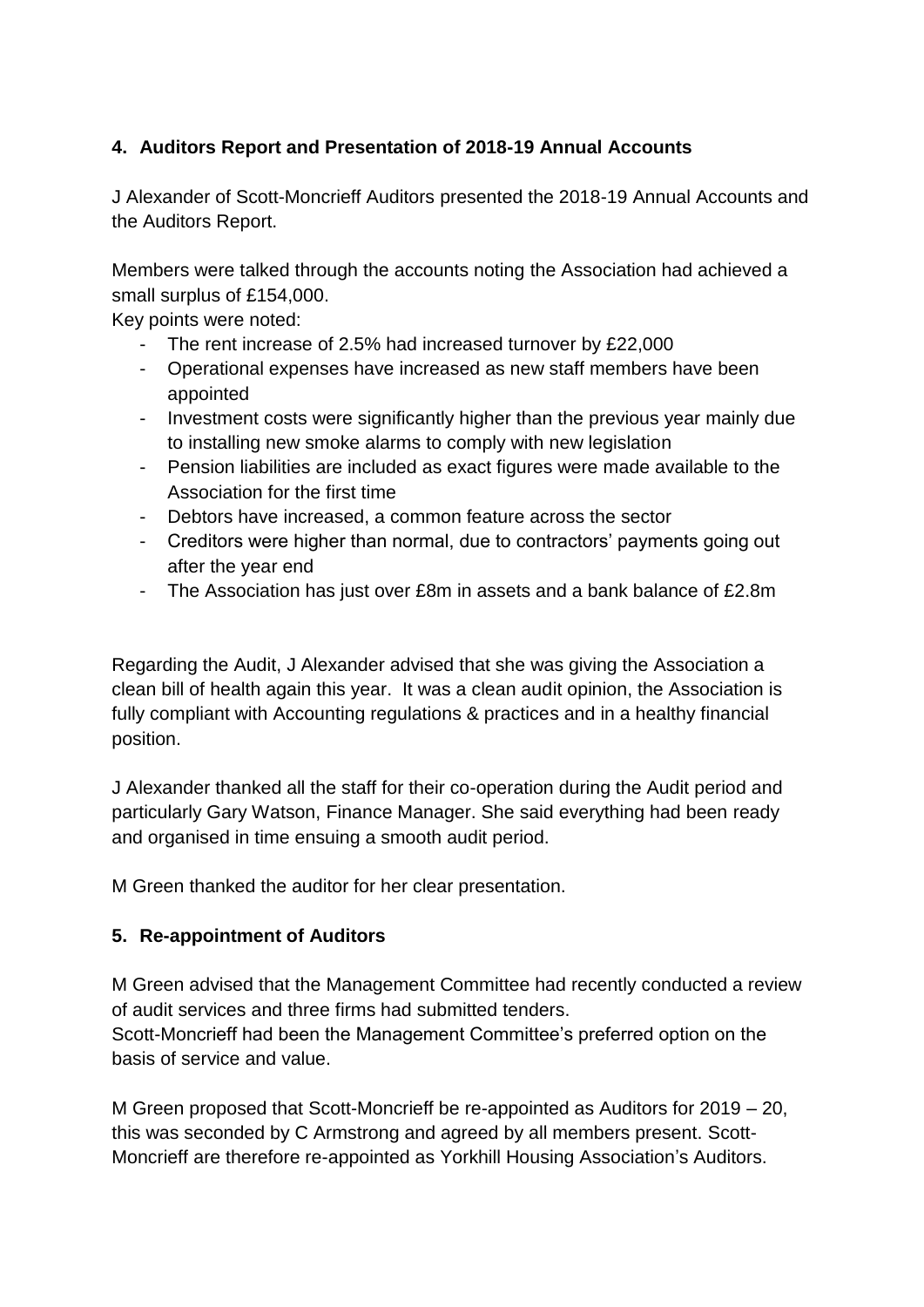# **4. Auditors Report and Presentation of 2018-19 Annual Accounts**

J Alexander of Scott-Moncrieff Auditors presented the 2018-19 Annual Accounts and the Auditors Report.

Members were talked through the accounts noting the Association had achieved a small surplus of £154,000.

Key points were noted:

- The rent increase of 2.5% had increased turnover by £22,000
- Operational expenses have increased as new staff members have been appointed
- Investment costs were significantly higher than the previous year mainly due to installing new smoke alarms to comply with new legislation
- Pension liabilities are included as exact figures were made available to the Association for the first time
- Debtors have increased, a common feature across the sector
- Creditors were higher than normal, due to contractors' payments going out after the year end
- The Association has just over £8m in assets and a bank balance of £2.8m

Regarding the Audit, J Alexander advised that she was giving the Association a clean bill of health again this year. It was a clean audit opinion, the Association is fully compliant with Accounting regulations & practices and in a healthy financial position.

J Alexander thanked all the staff for their co-operation during the Audit period and particularly Gary Watson, Finance Manager. She said everything had been ready and organised in time ensuing a smooth audit period.

M Green thanked the auditor for her clear presentation.

# **5. Re-appointment of Auditors**

M Green advised that the Management Committee had recently conducted a review of audit services and three firms had submitted tenders.

Scott-Moncrieff had been the Management Committee's preferred option on the basis of service and value.

M Green proposed that Scott-Moncrieff be re-appointed as Auditors for 2019 – 20, this was seconded by C Armstrong and agreed by all members present. Scott-Moncrieff are therefore re-appointed as Yorkhill Housing Association's Auditors.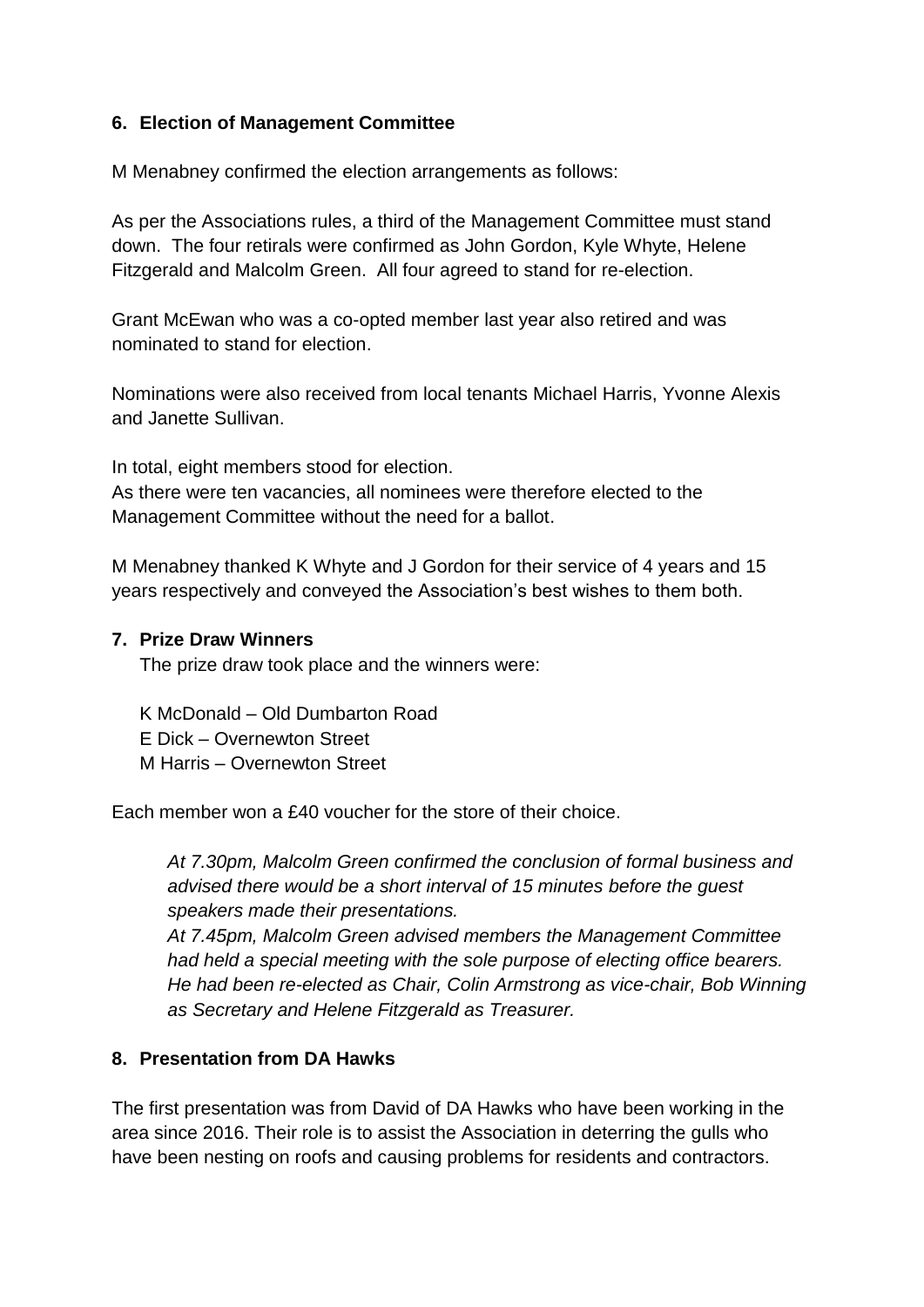#### **6. Election of Management Committee**

M Menabney confirmed the election arrangements as follows:

As per the Associations rules, a third of the Management Committee must stand down. The four retirals were confirmed as John Gordon, Kyle Whyte, Helene Fitzgerald and Malcolm Green. All four agreed to stand for re-election.

Grant McEwan who was a co-opted member last year also retired and was nominated to stand for election.

Nominations were also received from local tenants Michael Harris, Yvonne Alexis and Janette Sullivan.

In total, eight members stood for election. As there were ten vacancies, all nominees were therefore elected to the Management Committee without the need for a ballot.

M Menabney thanked K Whyte and J Gordon for their service of 4 years and 15 years respectively and conveyed the Association's best wishes to them both.

#### **7. Prize Draw Winners**

The prize draw took place and the winners were:

K McDonald – Old Dumbarton Road E Dick – Overnewton Street M Harris – Overnewton Street

Each member won a £40 voucher for the store of their choice.

*At 7.30pm, Malcolm Green confirmed the conclusion of formal business and advised there would be a short interval of 15 minutes before the guest speakers made their presentations.*

*At 7.45pm, Malcolm Green advised members the Management Committee had held a special meeting with the sole purpose of electing office bearers. He had been re-elected as Chair, Colin Armstrong as vice-chair, Bob Winning as Secretary and Helene Fitzgerald as Treasurer.* 

#### **8. Presentation from DA Hawks**

The first presentation was from David of DA Hawks who have been working in the area since 2016. Their role is to assist the Association in deterring the gulls who have been nesting on roofs and causing problems for residents and contractors.